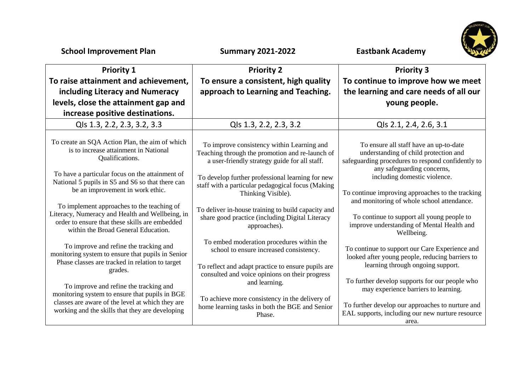| <b>School Improvement Plan</b>                                                                                                                                                         | <b>Summary 2021-2022</b>                                                                                                                       | <b>Eastbank Academy</b>                                                                                                                                            |
|----------------------------------------------------------------------------------------------------------------------------------------------------------------------------------------|------------------------------------------------------------------------------------------------------------------------------------------------|--------------------------------------------------------------------------------------------------------------------------------------------------------------------|
| <b>Priority 1</b>                                                                                                                                                                      | <b>Priority 2</b>                                                                                                                              | <b>Priority 3</b>                                                                                                                                                  |
| To raise attainment and achievement,<br>including Literacy and Numeracy<br>levels, close the attainment gap and<br>increase positive destinations.                                     | To ensure a consistent, high quality<br>approach to Learning and Teaching.                                                                     | To continue to improve how we meet<br>the learning and care needs of all our<br>young people.                                                                      |
| Qls 1.3, 2.2, 2.3, 3.2, 3.3                                                                                                                                                            | Qls 1.3, 2.2, 2.3, 3.2                                                                                                                         | Qls 2.1, 2.4, 2.6, 3.1                                                                                                                                             |
| To create an SQA Action Plan, the aim of which<br>is to increase attainment in National<br>Qualifications.                                                                             | To improve consistency within Learning and<br>Teaching through the promotion and re-launch of<br>a user-friendly strategy guide for all staff. | To ensure all staff have an up-to-date<br>understanding of child protection and<br>safeguarding procedures to respond confidently to<br>any safeguarding concerns, |
| To have a particular focus on the attainment of<br>National 5 pupils in S5 and S6 so that there can<br>be an improvement in work ethic.                                                | To develop further professional learning for new<br>staff with a particular pedagogical focus (Making<br>Thinking Visible).                    | including domestic violence.<br>To continue improving approaches to the tracking                                                                                   |
| To implement approaches to the teaching of<br>Literacy, Numeracy and Health and Wellbeing, in<br>order to ensure that these skills are embedded<br>within the Broad General Education. | To deliver in-house training to build capacity and<br>share good practice (including Digital Literacy<br>approaches).                          | and monitoring of whole school attendance.<br>To continue to support all young people to<br>improve understanding of Mental Health and<br>Wellbeing.               |
| To improve and refine the tracking and<br>monitoring system to ensure that pupils in Senior<br>Phase classes are tracked in relation to target                                         | To embed moderation procedures within the<br>school to ensure increased consistency.                                                           | To continue to support our Care Experience and<br>looked after young people, reducing barriers to                                                                  |
| grades.<br>To improve and refine the tracking and<br>monitoring system to ensure that pupils in BGE                                                                                    | To reflect and adapt practice to ensure pupils are<br>consulted and voice opinions on their progress<br>and learning.                          | learning through ongoing support.<br>To further develop supports for our people who<br>may experience barriers to learning.                                        |
| classes are aware of the level at which they are<br>working and the skills that they are developing                                                                                    | To achieve more consistency in the delivery of<br>home learning tasks in both the BGE and Senior<br>Phase.                                     | To further develop our approaches to nurture and<br>EAL supports, including our new nurture resource<br>area.                                                      |